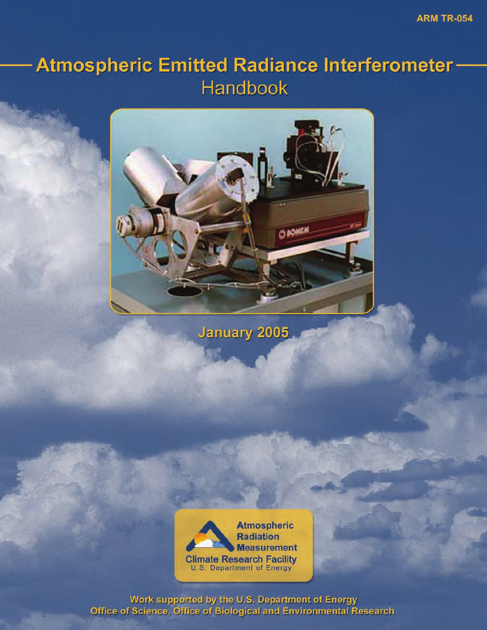# **Atmospheric Emitted Radiance Interferometer Handbook**



**January 2005** 



Work supported by the U.S. Department of Energy Office of Science, Office of Biological and Environmental Research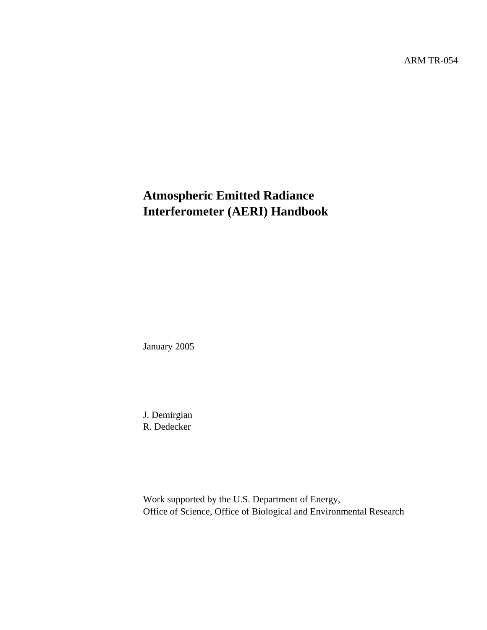ARM TR-054

# **Atmospheric Emitted Radiance Interferometer (AERI) Handbook**

January 2005

J. Demirgian R. Dedecker

Work supported by the U.S. Department of Energy, Office of Science, Office of Biological and Environmental Research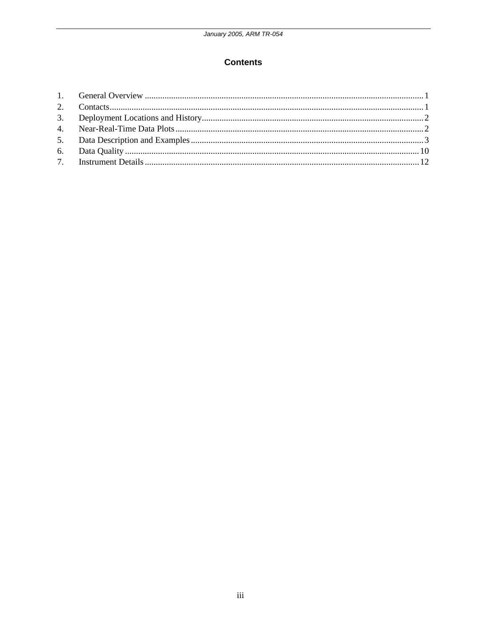## **Contents**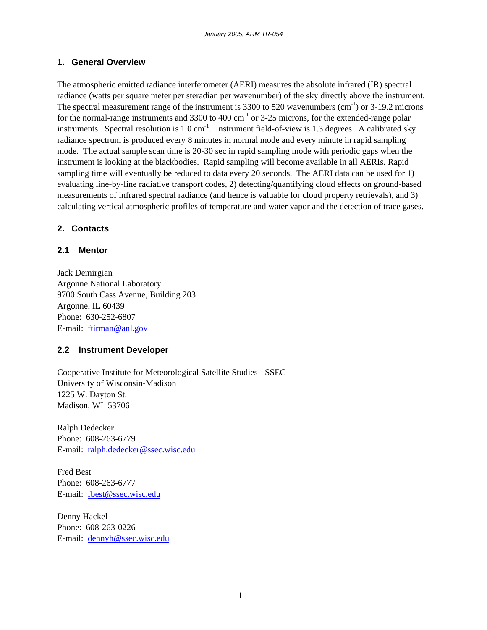#### <span id="page-3-0"></span>**1. General Overview**

The atmospheric emitted radiance interferometer (AERI) measures the absolute infrared (IR) spectral radiance (watts per square meter per steradian per wavenumber) of the sky directly above the instrument. The spectral measurement range of the instrument is 3300 to 520 wavenumbers (cm<sup>-1</sup>) or 3-19.2 microns for the normal-range instruments and 3300 to 400  $cm^{-1}$  or 3-25 microns, for the extended-range polar instruments. Spectral resolution is  $1.0 \text{ cm}^{-1}$ . Instrument field-of-view is 1.3 degrees. A calibrated sky radiance spectrum is produced every 8 minutes in normal mode and every minute in rapid sampling mode. The actual sample scan time is 20-30 sec in rapid sampling mode with periodic gaps when the instrument is looking at the blackbodies. Rapid sampling will become available in all AERIs. Rapid sampling time will eventually be reduced to data every 20 seconds. The AERI data can be used for 1) evaluating line-by-line radiative transport codes, 2) detecting/quantifying cloud effects on ground-based measurements of infrared spectral radiance (and hence is valuable for cloud property retrievals), and 3) calculating vertical atmospheric profiles of temperature and water vapor and the detection of trace gases.

#### **2. Contacts**

#### **2.1 Mentor**

Jack Demirgian Argonne National Laboratory 9700 South Cass Avenue, Building 203 Argonne, IL 60439 Phone: 630-252-6807 E-mail: [ftirman@anl.gov](mailto:ftirman@anl.gov)

#### **2.2 Instrument Developer**

Cooperative Institute for Meteorological Satellite Studies - SSEC University of Wisconsin-Madison 1225 W. Dayton St. Madison, WI 53706

Ralph Dedecker Phone: 608-263-6779 E-mail: [ralph.dedecker@ssec.wisc.edu](mailto:ralph.dedecker@ssec.wisc.edu) 

Fred Best Phone: 608-263-6777 E-mail: [fbest@ssec.wisc.edu](mailto:fbest@ssec.wisc.edu) 

Denny Hackel Phone: 608-263-0226 E-mail: [dennyh@ssec.wisc.edu](mailto:dennyh@ssec.wisc.edu)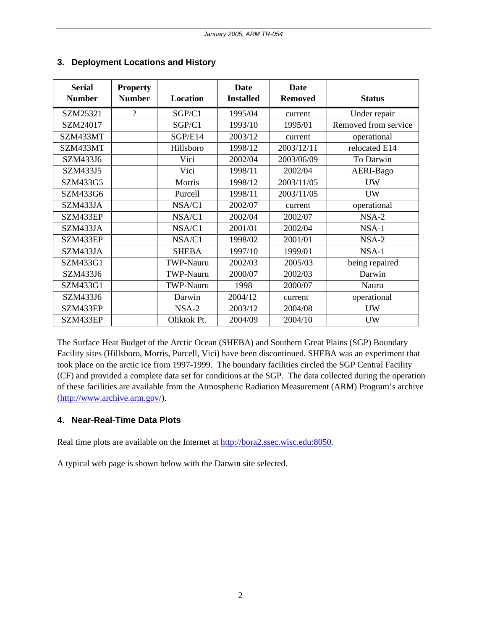| <b>Serial</b><br><b>Number</b> | <b>Property</b><br><b>Number</b> | Location         | <b>Date</b><br><b>Installed</b> | <b>Date</b><br><b>Removed</b> | <b>Status</b>        |
|--------------------------------|----------------------------------|------------------|---------------------------------|-------------------------------|----------------------|
| SZM25321                       | $\gamma$                         | SGP/C1           | 1995/04                         | current                       | Under repair         |
| SZM24017                       |                                  | SGP/C1           | 1993/10                         | 1995/01                       | Removed from service |
| SZM433MT                       |                                  | SGP/E14          | 2003/12                         | current                       | operational          |
| SZM433MT                       |                                  | Hillsboro        | 1998/12                         | 2003/12/11                    | relocated E14        |
| SZM433J6                       |                                  | Vici             | 2002/04                         | 2003/06/09                    | To Darwin            |
| SZM433J5                       |                                  | Vici             | 1998/11                         | 2002/04                       | AERI-Bago            |
| SZM433G5                       |                                  | Morris           | 1998/12                         | 2003/11/05                    | <b>UW</b>            |
| SZM433G6                       |                                  | Purcell          | 1998/11                         | 2003/11/05                    | <b>UW</b>            |
| SZM433JA                       |                                  | NSA/C1           | 2002/07                         | current                       | operational          |
| SZM433EP                       |                                  | NSA/C1           | 2002/04                         | 2002/07                       | $NSA-2$              |
| SZM433JA                       |                                  | NSA/C1           | 2001/01                         | 2002/04                       | $NSA-1$              |
| SZM433EP                       |                                  | NSA/C1           | 1998/02                         | 2001/01                       | $NSA-2$              |
| SZM433JA                       |                                  | <b>SHEBA</b>     | 1997/10                         | 1999/01                       | NSA-1                |
| SZM433G1                       |                                  | TWP-Nauru        | 2002/03                         | 2005/03                       | being repaired       |
| SZM433J6                       |                                  | <b>TWP-Nauru</b> | 2000/07                         | 2002/03                       | Darwin               |
| SZM433G1                       |                                  | TWP-Nauru        | 1998                            | 2000/07                       | Nauru                |
| SZM433J6                       |                                  | Darwin           | 2004/12                         | current                       | operational          |
| SZM433EP                       |                                  | $NSA-2$          | 2003/12                         | 2004/08                       | <b>UW</b>            |
| SZM433EP                       |                                  | Oliktok Pt.      | 2004/09                         | 2004/10                       | <b>UW</b>            |

# <span id="page-4-0"></span>**3. Deployment Locations and History**

The Surface Heat Budget of the Arctic Ocean (SHEBA) and Southern Great Plains (SGP) Boundary Facility sites (Hillsboro, Morris, Purcell, Vici) have been discontinued. SHEBA was an experiment that took place on the arctic ice from 1997-1999. The boundary facilities circled the SGP Central Facility (CF) and provided a complete data set for conditions at the SGP. The data collected during the operation of these facilities are available from the Atmospheric Radiation Measurement (ARM) Program's archive (<http://www.archive.arm.gov/>).

# **4. Near-Real-Time Data Plots**

Real time plots are available on the Internet at [http://bora2.ssec.wisc.edu:8050.](http://bora2.ssec.wisc.edu:8050/)

A typical web page is shown below with the Darwin site selected.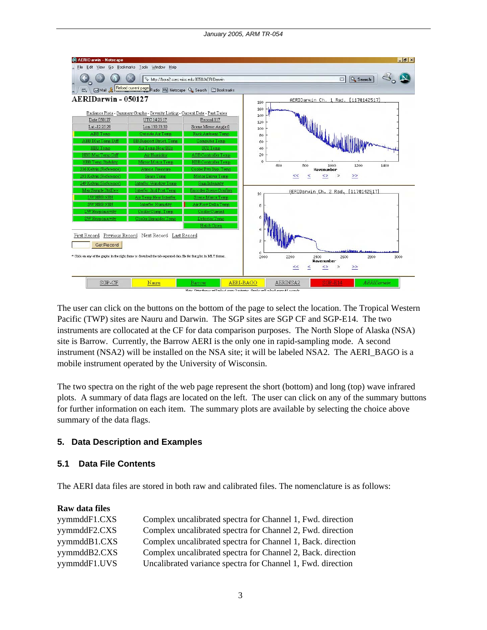<span id="page-5-0"></span>

The user can click on the buttons on the bottom of the page to select the location. The Tropical Western Pacific (TWP) sites are Nauru and Darwin. The SGP sites are SGP CF and SGP-E14. The two instruments are collocated at the CF for data comparison purposes. The North Slope of Alaska (NSA) site is Barrow. Currently, the Barrow AERI is the only one in rapid-sampling mode. A second instrument (NSA2) will be installed on the NSA site; it will be labeled NSA2. The AERI\_BAGO is a mobile instrument operated by the University of Wisconsin.

The two spectra on the right of the web page represent the short (bottom) and long (top) wave infrared plots. A summary of data flags are located on the left. The user can click on any of the summary buttons for further information on each item. The summary plots are available by selecting the choice above summary of the data flags.

#### **5. Data Description and Examples**

#### **5.1 Data File Contents**

The AERI data files are stored in both raw and calibrated files. The nomenclature is as follows:

| Raw data files |
|----------------|
|                |

| yymmddF1.CXS | Complex uncalibrated spectra for Channel 1, Fwd. direction  |
|--------------|-------------------------------------------------------------|
| yymmddF2.CXS | Complex uncalibrated spectra for Channel 2, Fwd. direction  |
| yymmddB1.CXS | Complex uncalibrated spectra for Channel 1, Back. direction |
| yymmddB2.CXS | Complex uncalibrated spectra for Channel 2, Back. direction |
| yymmddF1.UVS | Uncalibrated variance spectra for Channel 1, Fwd. direction |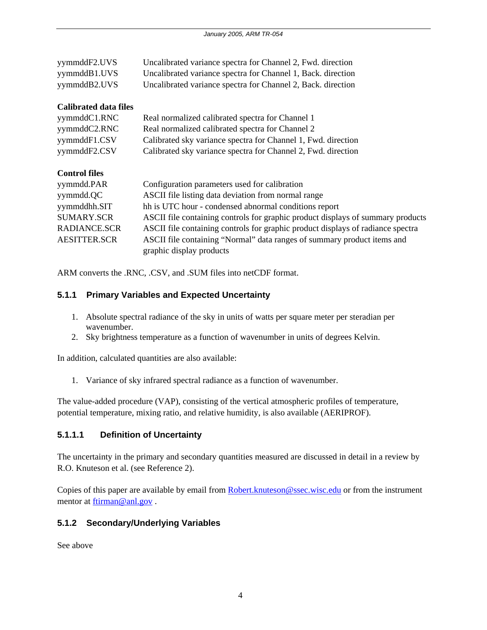| yymmddF2.UVS                                                                 | Uncalibrated variance spectra for Channel 2, Fwd. direction                                         |  |
|------------------------------------------------------------------------------|-----------------------------------------------------------------------------------------------------|--|
| yymmddB1.UVS                                                                 | Uncalibrated variance spectra for Channel 1, Back. direction                                        |  |
| yymmddB2.UVS<br>Uncalibrated variance spectra for Channel 2, Back. direction |                                                                                                     |  |
| Calibrated data files                                                        |                                                                                                     |  |
| yymmddC1.RNC                                                                 | Real normalized calibrated spectra for Channel 1                                                    |  |
| yymmddC2.RNC                                                                 | Real normalized calibrated spectra for Channel 2                                                    |  |
| yymmddF1.CSV                                                                 | Calibrated sky variance spectra for Channel 1, Fwd. direction                                       |  |
| yymmddF2.CSV                                                                 | Calibrated sky variance spectra for Channel 2, Fwd. direction                                       |  |
| <b>Control files</b>                                                         |                                                                                                     |  |
| yymmdd.PAR                                                                   | Configuration parameters used for calibration                                                       |  |
| yymmdd.QC                                                                    | ASCII file listing data deviation from normal range                                                 |  |
| yymmddhh.SIT                                                                 | hh is UTC hour - condensed abnormal conditions report                                               |  |
| <b>SUMARY.SCR</b>                                                            | ASCII file containing controls for graphic product displays of summary products                     |  |
| RADIANCE.SCR                                                                 | ASCII file containing controls for graphic product displays of radiance spectra                     |  |
| <b>AESITTER.SCR</b>                                                          | ASCII file containing "Normal" data ranges of summary product items and<br>graphic display products |  |

ARM converts the .RNC, .CSV, and .SUM files into netCDF format.

#### **5.1.1 Primary Variables and Expected Uncertainty**

- 1. Absolute spectral radiance of the sky in units of watts per square meter per steradian per wavenumber.
- 2. Sky brightness temperature as a function of wavenumber in units of degrees Kelvin.

In addition, calculated quantities are also available:

1. Variance of sky infrared spectral radiance as a function of wavenumber.

The value-added procedure (VAP), consisting of the vertical atmospheric profiles of temperature, potential temperature, mixing ratio, and relative humidity, is also available (AERIPROF).

#### **5.1.1.1 Definition of Uncertainty**

The uncertainty in the primary and secondary quantities measured are discussed in detail in a review by R.O. Knuteson et al. (see Reference 2).

Copies of this paper are available by email from [Robert.knuteson@ssec.wisc.edu](mailto:Robert.knuteson@ssec.wisc.edu) or from the instrument mentor at ftirman@anl.gov.

#### **5.1.2 Secondary/Underlying Variables**

See above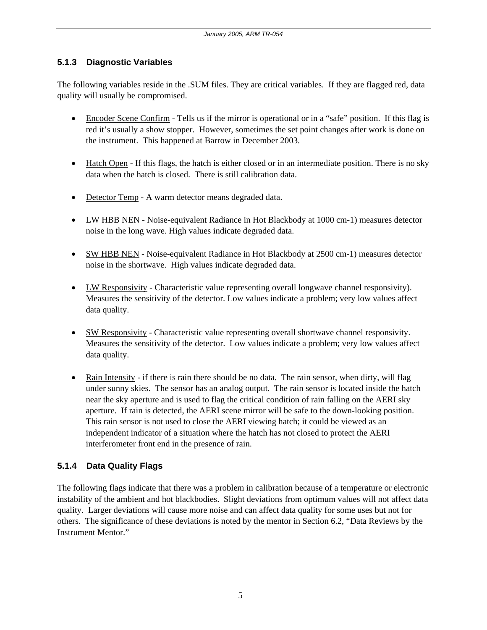# **5.1.3 Diagnostic Variables**

The following variables reside in the .SUM files. They are critical variables. If they are flagged red, data quality will usually be compromised.

- Encoder Scene Confirm Tells us if the mirror is operational or in a "safe" position. If this flag is red it's usually a show stopper. However, sometimes the set point changes after work is done on the instrument. This happened at Barrow in December 2003.
- Hatch Open If this flags, the hatch is either closed or in an intermediate position. There is no sky data when the hatch is closed. There is still calibration data.
- Detector Temp A warm detector means degraded data.
- LW HBB NEN Noise-equivalent Radiance in Hot Blackbody at 1000 cm-1) measures detector noise in the long wave. High values indicate degraded data.
- SW HBB NEN Noise-equivalent Radiance in Hot Blackbody at 2500 cm-1) measures detector noise in the shortwave. High values indicate degraded data.
- LW Responsivity Characteristic value representing overall longwave channel responsivity). Measures the sensitivity of the detector. Low values indicate a problem; very low values affect data quality.
- SW Responsivity Characteristic value representing overall shortwave channel responsivity. Measures the sensitivity of the detector. Low values indicate a problem; very low values affect data quality.
- Rain Intensity if there is rain there should be no data. The rain sensor, when dirty, will flag under sunny skies. The sensor has an analog output. The rain sensor is located inside the hatch near the sky aperture and is used to flag the critical condition of rain falling on the AERI sky aperture. If rain is detected, the AERI scene mirror will be safe to the down-looking position. This rain sensor is not used to close the AERI viewing hatch; it could be viewed as an independent indicator of a situation where the hatch has not closed to protect the AERI interferometer front end in the presence of rain.

# **5.1.4 Data Quality Flags**

The following flags indicate that there was a problem in calibration because of a temperature or electronic instability of the ambient and hot blackbodies. Slight deviations from optimum values will not affect data quality. Larger deviations will cause more noise and can affect data quality for some uses but not for others. The significance of these deviations is noted by the mentor in Section 6.2, "Data Reviews by the Instrument Mentor."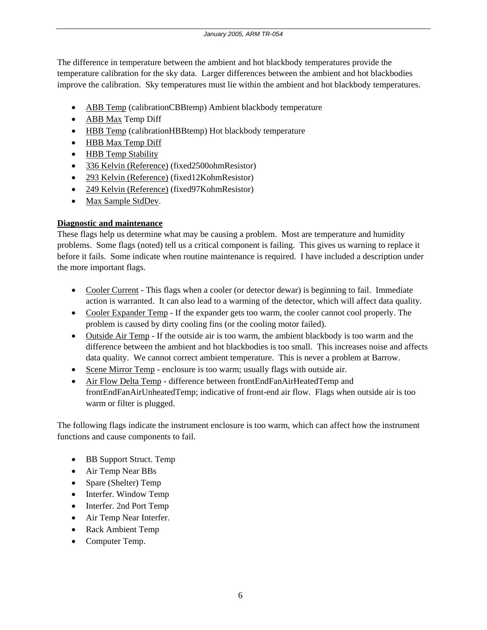The difference in temperature between the ambient and hot blackbody temperatures provide the temperature calibration for the sky data. Larger differences between the ambient and hot blackbodies improve the calibration. Sky temperatures must lie within the ambient and hot blackbody temperatures.

- ABB Temp (calibrationCBBtemp) Ambient blackbody temperature
- ABB Max Temp Diff
- HBB Temp (calibrationHBBtemp) Hot blackbody temperature
- HBB Max Temp Diff
- HBB Temp Stability
- 336 Kelvin (Reference) (fixed2500ohmResistor)
- 293 Kelvin (Reference) (fixed12KohmResistor)
- 249 Kelvin (Reference) (fixed97KohmResistor)
- Max Sample StdDev.

## **Diagnostic and maintenance**

These flags help us determine what may be causing a problem. Most are temperature and humidity problems. Some flags (noted) tell us a critical component is failing. This gives us warning to replace it before it fails. Some indicate when routine maintenance is required. I have included a description under the more important flags.

- Cooler Current This flags when a cooler (or detector dewar) is beginning to fail. Immediate action is warranted. It can also lead to a warming of the detector, which will affect data quality.
- Cooler Expander Temp If the expander gets too warm, the cooler cannot cool properly. The problem is caused by dirty cooling fins (or the cooling motor failed).
- Outside Air Temp If the outside air is too warm, the ambient blackbody is too warm and the difference between the ambient and hot blackbodies is too small. This increases noise and affects data quality. We cannot correct ambient temperature. This is never a problem at Barrow.
- Scene Mirror Temp enclosure is too warm; usually flags with outside air.
- Air Flow Delta Temp difference between frontEndFanAirHeatedTemp and frontEndFanAirUnheatedTemp; indicative of front-end air flow. Flags when outside air is too warm or filter is plugged.

The following flags indicate the instrument enclosure is too warm, which can affect how the instrument functions and cause components to fail.

- BB Support Struct. Temp
- Air Temp Near BBs
- Spare (Shelter) Temp
- Interfer. Window Temp
- Interfer. 2nd Port Temp
- Air Temp Near Interfer.
- Rack Ambient Temp
- Computer Temp.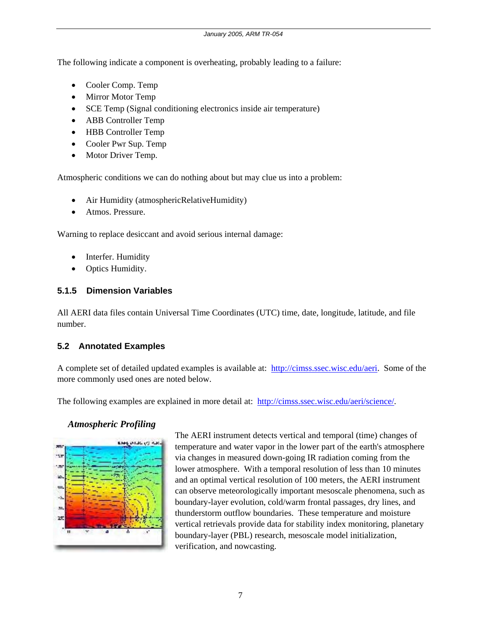The following indicate a component is overheating, probably leading to a failure:

- Cooler Comp. Temp
- Mirror Motor Temp
- SCE Temp (Signal conditioning electronics inside air temperature)
- ABB Controller Temp
- HBB Controller Temp
- Cooler Pwr Sup. Temp
- Motor Driver Temp.

Atmospheric conditions we can do nothing about but may clue us into a problem:

- Air Humidity (atmosphericRelativeHumidity)
- Atmos. Pressure.

Warning to replace desiccant and avoid serious internal damage:

- Interfer. Humidity
- Optics Humidity.

#### **5.1.5 Dimension Variables**

All AERI data files contain Universal Time Coordinates (UTC) time, date, longitude, latitude, and file number.

# **5.2 Annotated Examples**

A complete set of detailed updated examples is available at: [http://cimss.ssec.wisc.edu/aeri.](http://cimss.ssec.wisc.edu/aeri) Some of the more commonly used ones are noted below.

The following examples are explained in more detail at: [http://cimss.ssec.wisc.edu/aeri/science/.](http://cimss.ssec.wisc.edu/aeri/science/)

#### *Atmospheric Profiling*



The AERI instrument detects vertical and temporal (time) changes of temperature and water vapor in the lower part of the earth's atmosphere via changes in measured down-going IR radiation coming from the lower atmosphere. With a temporal resolution of less than 10 minutes and an optimal vertical resolution of 100 meters, the AERI instrument can observe meteorologically important mesoscale phenomena, such as boundary-layer evolution, cold/warm frontal passages, dry lines, and thunderstorm outflow boundaries. These temperature and moisture vertical retrievals provide data for stability index monitoring, planetary boundary-layer (PBL) research, mesoscale model initialization, verification, and nowcasting.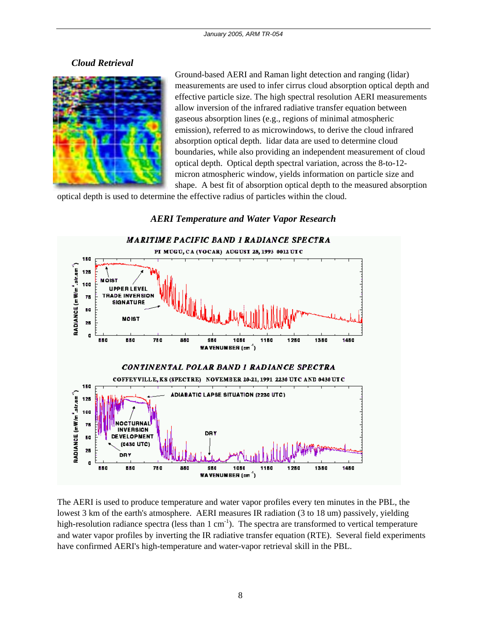# *Cloud Retrieval*



Ground-based AERI and Raman light detection and ranging (lidar) measurements are used to infer cirrus cloud absorption optical depth and effective particle size. The high spectral resolution AERI measurements allow inversion of the infrared radiative transfer equation between gaseous absorption lines (e.g., regions of minimal atmospheric emission), referred to as microwindows, to derive the cloud infrared absorption optical depth. lidar data are used to determine cloud boundaries, while also providing an independent measurement of cloud optical depth. Optical depth spectral variation, across the 8-to-12 micron atmospheric window, yields information on particle size and shape. A best fit of absorption optical depth to the measured absorption

optical depth is used to determine the effective radius of particles within the cloud.

## *AERI Temperature and Water Vapor Research*



The AERI is used to produce temperature and water vapor profiles every ten minutes in the PBL, the lowest 3 km of the earth's atmosphere. AERI measures IR radiation (3 to 18 um) passively, yielding high-resolution radiance spectra (less than  $1 \text{ cm}^{-1}$ ). The spectra are transformed to vertical temperature and water vapor profiles by inverting the IR radiative transfer equation (RTE). Several field experiments have confirmed AERI's high-temperature and water-vapor retrieval skill in the PBL.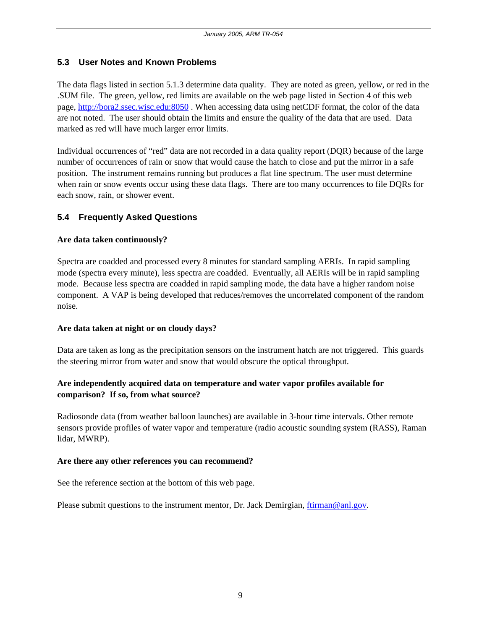#### **5.3 User Notes and Known Problems**

The data flags listed in section 5.1.3 determine data quality. They are noted as green, yellow, or red in the .SUM file. The green, yellow, red limits are available on the web page listed in Section 4 of this web page, [http://bora2.ssec.wisc.edu:8050](http://bora2.ssec.wisc.edu:8050/). When accessing data using netCDF format, the color of the data are not noted. The user should obtain the limits and ensure the quality of the data that are used. Data marked as red will have much larger error limits.

Individual occurrences of "red" data are not recorded in a data quality report (DQR) because of the large number of occurrences of rain or snow that would cause the hatch to close and put the mirror in a safe position. The instrument remains running but produces a flat line spectrum. The user must determine when rain or snow events occur using these data flags. There are too many occurrences to file DQRs for each snow, rain, or shower event.

## **5.4 Frequently Asked Questions**

#### **Are data taken continuously?**

Spectra are coadded and processed every 8 minutes for standard sampling AERIs. In rapid sampling mode (spectra every minute), less spectra are coadded. Eventually, all AERIs will be in rapid sampling mode. Because less spectra are coadded in rapid sampling mode, the data have a higher random noise component. A VAP is being developed that reduces/removes the uncorrelated component of the random noise.

#### **Are data taken at night or on cloudy days?**

Data are taken as long as the precipitation sensors on the instrument hatch are not triggered. This guards the steering mirror from water and snow that would obscure the optical throughput.

#### **Are independently acquired data on temperature and water vapor profiles available for comparison? If so, from what source?**

Radiosonde data (from weather balloon launches) are available in 3-hour time intervals. Other remote sensors provide profiles of water vapor and temperature (radio acoustic sounding system (RASS), Raman lidar, MWRP).

#### **Are there any other references you can recommend?**

See the reference section at the bottom of this web page.

Please submit questions to the instrument mentor, Dr. Jack Demirgian, [ftirman@anl.gov.](mailto:ftirman@anl.gov)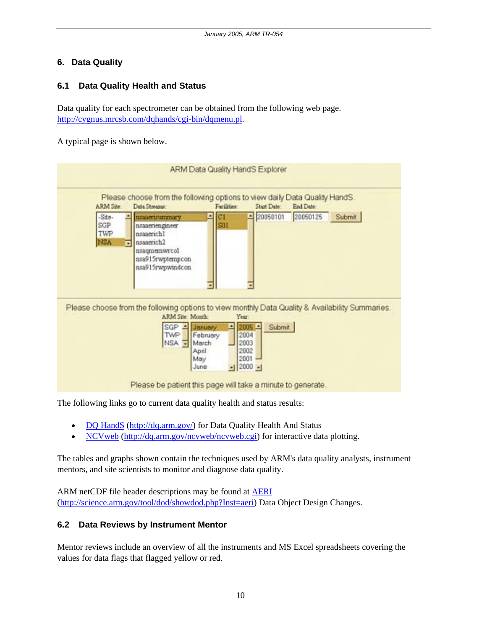# <span id="page-12-0"></span>**6. Data Quality**

#### **6.1 Data Quality Health and Status**

Data quality for each spectrometer can be obtained from the following web page. [http://cygnus.mrcsb.com/dqhands/cgi-bin/dqmenu.pl.](http://cygnus.mrcsb.com/dqhands/cgi-bin/dqmenu.pl)

A typical page is shown below.

| ARM Site:                                 | Please choose from the following options to view daily Data Quality HandS.<br>Data Streams:                                                                 | Facilities:                                        | Start Date:                                                           | End Date: |        |
|-------------------------------------------|-------------------------------------------------------------------------------------------------------------------------------------------------------------|----------------------------------------------------|-----------------------------------------------------------------------|-----------|--------|
| -Site-<br>SGP<br><b>TWP</b><br><b>NSA</b> | nsaaerisummary<br>nsaaenengineer<br>nsaaenchl<br>nsaacrich2<br>н<br>nsagmemwrcol<br>nsa915rwptempcon<br>nsa915rwpwindcon                                    | <b>IGT</b><br>$\blacksquare$<br><b>S01</b>         | 20050101                                                              | 20050125  | Submit |
|                                           | Please choose from the following options to view monthly Data Quality & Availability Summaries.<br>ARM Site: Month:<br>SGP - January<br><b>TWP</b><br>NSA - | Year:<br>February<br>March<br>April<br>May<br>June | $2005 -$<br>Submit<br>2004<br>2003<br>2002<br>$2001 -$<br>$-1$ 2000 - |           |        |

The following links go to current data quality health and status results:

- [DQ HandS](http://dq.arm.gov/) ([http://dq.arm.gov/\)](http://dq.arm.gov/) for Data Quality Health And Status
- [NCVweb](http://dq.arm.gov/ncvweb/ncvweb.cgi) (<http://dq.arm.gov/ncvweb/ncvweb.cgi>) for interactive data plotting.

The tables and graphs shown contain the techniques used by ARM's data quality analysts, instrument mentors, and site scientists to monitor and diagnose data quality.

ARM netCDF file header descriptions may be found at **[AERI](http://science.arm.gov/tool/dod/showdod.php?Inst=aeri)** (<http://science.arm.gov/tool/dod/showdod.php?Inst=aeri>) Data Object Design Changes.

#### **6.2 Data Reviews by Instrument Mentor**

Mentor reviews include an overview of all the instruments and MS Excel spreadsheets covering the values for data flags that flagged yellow or red.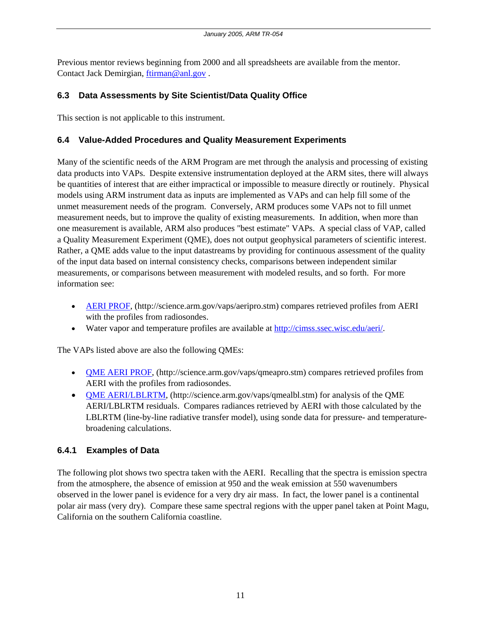Previous mentor reviews beginning from 2000 and all spreadsheets are available from the mentor. Contact Jack Demirgian, [ftirman@anl.gov](mailto:ftirman@anl.gov) .

## **6.3 Data Assessments by Site Scientist/Data Quality Office**

This section is not applicable to this instrument.

#### **6.4 Value-Added Procedures and Quality Measurement Experiments**

Many of the scientific needs of the ARM Program are met through the analysis and processing of existing data products into VAPs. Despite extensive instrumentation deployed at the ARM sites, there will always be quantities of interest that are either impractical or impossible to measure directly or routinely. Physical models using ARM instrument data as inputs are implemented as VAPs and can help fill some of the unmet measurement needs of the program. Conversely, ARM produces some VAPs not to fill unmet measurement needs, but to improve the quality of existing measurements. In addition, when more than one measurement is available, ARM also produces "best estimate" VAPs. A special class of VAP, called a Quality Measurement Experiment (QME), does not output geophysical parameters of scientific interest. Rather, a QME adds value to the input datastreams by providing for continuous assessment of the quality of the input data based on internal consistency checks, comparisons between independent similar measurements, or comparisons between measurement with modeled results, and so forth. For more information see:

- **AERI PROF**, (http://science.arm.gov/vaps/aeripro.stm) compares retrieved profiles from AERI with the profiles from radiosondes.
- Water vapor and temperature profiles are available at <http://cimss.ssec.wisc.edu/aeri/>.

The VAPs listed above are also the following QMEs:

- [QME AERI PROF](http://science.arm.gov/vaps/qmeapro.stm), (http://science.arm.gov/vaps/qmeapro.stm) compares retrieved profiles from AERI with the profiles from radiosondes.
- [QME AERI/LBLRTM](http://science.arm.gov/vaps/qmealbl.stm), (http://science.arm.gov/vaps/qmealbl.stm) for analysis of the QME AERI/LBLRTM residuals. Compares radiances retrieved by AERI with those calculated by the LBLRTM (line-by-line radiative transfer model), using sonde data for pressure- and temperaturebroadening calculations.

#### **6.4.1 Examples of Data**

The following plot shows two spectra taken with the AERI. Recalling that the spectra is emission spectra from the atmosphere, the absence of emission at 950 and the weak emission at 550 wavenumbers observed in the lower panel is evidence for a very dry air mass. In fact, the lower panel is a continental polar air mass (very dry). Compare these same spectral regions with the upper panel taken at Point Magu, California on the southern California coastline.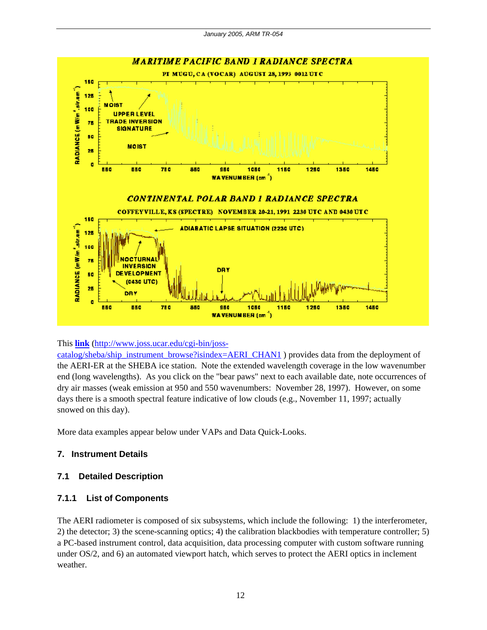<span id="page-14-0"></span>

#### This **[link](http://www.joss.ucar.edu/cgi-bin/joss-catalog/sheba/ship_instrument_browse?isindex=AERI_CHAN1)** [\(http://www.joss.ucar.edu/cgi-bin/joss-](http://www.joss.ucar.edu/cgi-bin/joss-catalog/sheba/ship_instrument_browse?isindex=AERI_CHAN1)

[catalog/sheba/ship\\_instrument\\_browse?isindex=AERI\\_CHAN1](http://www.joss.ucar.edu/cgi-bin/joss-catalog/sheba/ship_instrument_browse?isindex=AERI_CHAN1) ) provides data from the deployment of the AERI-ER at the SHEBA ice station. Note the extended wavelength coverage in the low wavenumber end (long wavelengths). As you click on the "bear paws" next to each available date, note occurrences of dry air masses (weak emission at 950 and 550 wavenumbers: November 28, 1997). However, on some days there is a smooth spectral feature indicative of low clouds (e.g., November 11, 1997; actually snowed on this day).

More data examples appear below under VAPs and Data Quick-Looks.

#### **7. Instrument Details**

#### **7.1 Detailed Description**

#### **7.1.1 List of Components**

The AERI radiometer is composed of six subsystems, which include the following: 1) the interferometer, 2) the detector; 3) the scene-scanning optics; 4) the calibration blackbodies with temperature controller; 5) a PC-based instrument control, data acquisition, data processing computer with custom software running under OS/2, and 6) an automated viewport hatch, which serves to protect the AERI optics in inclement weather.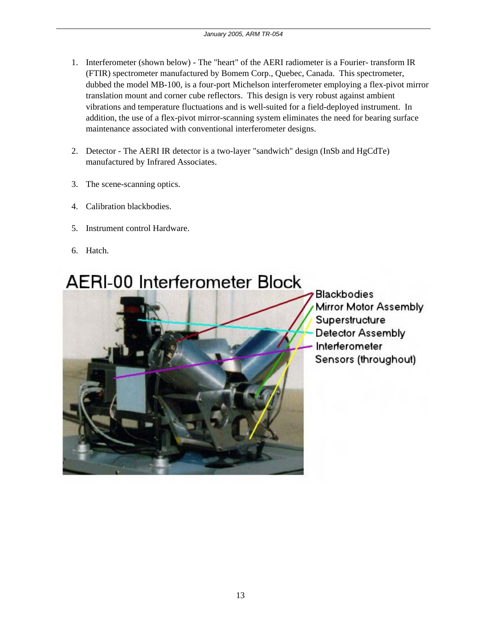- 1. Interferometer (shown below) The "heart" of the AERI radiometer is a Fourier- transform IR (FTIR) spectrometer manufactured by Bomem Corp., Quebec, Canada. This spectrometer, dubbed the model MB-100, is a four-port Michelson interferometer employing a flex-pivot mirror translation mount and corner cube reflectors. This design is very robust against ambient vibrations and temperature fluctuations and is well-suited for a field-deployed instrument. In addition, the use of a flex-pivot mirror-scanning system eliminates the need for bearing surface maintenance associated with conventional interferometer designs.
- 2. Detector The AERI IR detector is a two-layer "sandwich" design (InSb and HgCdTe) manufactured by Infrared Associates.
- 3. The scene-scanning optics.
- 4. Calibration blackbodies.
- 5. Instrument control Hardware.
- 6. Hatch.



**Blackbodies** Mirror Motor Assembly Superstructure Detector Assembly Interferometer Sensors (throughout)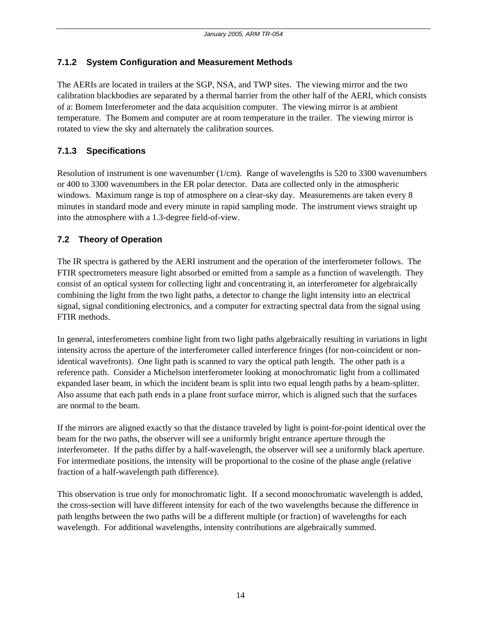# **7.1.2 System Configuration and Measurement Methods**

The AERIs are located in trailers at the SGP, NSA, and TWP sites. The viewing mirror and the two calibration blackbodies are separated by a thermal barrier from the other half of the AERI, which consists of a: Bomem Interferometer and the data acquisition computer. The viewing mirror is at ambient temperature. The Bomem and computer are at room temperature in the trailer. The viewing mirror is rotated to view the sky and alternately the calibration sources.

# **7.1.3 Specifications**

Resolution of instrument is one wavenumber (1/cm). Range of wavelengths is 520 to 3300 wavenumbers or 400 to 3300 wavenumbers in the ER polar detector. Data are collected only in the atmospheric windows. Maximum range is top of atmosphere on a clear-sky day. Measurements are taken every 8 minutes in standard mode and every minute in rapid sampling mode. The instrument views straight up into the atmosphere with a 1.3-degree field-of-view.

# **7.2 Theory of Operation**

The IR spectra is gathered by the AERI instrument and the operation of the interferometer follows. The FTIR spectrometers measure light absorbed or emitted from a sample as a function of wavelength. They consist of an optical system for collecting light and concentrating it, an interferometer for algebraically combining the light from the two light paths, a detector to change the light intensity into an electrical signal, signal conditioning electronics, and a computer for extracting spectral data from the signal using FTIR methods.

In general, interferometers combine light from two light paths algebraically resulting in variations in light intensity across the aperture of the interferometer called interference fringes (for non-coincident or nonidentical wavefronts). One light path is scanned to vary the optical path length. The other path is a reference path. Consider a Michelson interferometer looking at monochromatic light from a collimated expanded laser beam, in which the incident beam is split into two equal length paths by a beam-splitter. Also assume that each path ends in a plane front surface mirror, which is aligned such that the surfaces are normal to the beam.

If the mirrors are aligned exactly so that the distance traveled by light is point-for-point identical over the beam for the two paths, the observer will see a uniformly bright entrance aperture through the interferometer. If the paths differ by a half-wavelength, the observer will see a uniformly black aperture. For intermediate positions, the intensity will be proportional to the cosine of the phase angle (relative fraction of a half-wavelength path difference).

This observation is true only for monochromatic light. If a second monochromatic wavelength is added, the cross-section will have different intensity for each of the two wavelengths because the difference in path lengths between the two paths will be a different multiple (or fraction) of wavelengths for each wavelength. For additional wavelengths, intensity contributions are algebraically summed.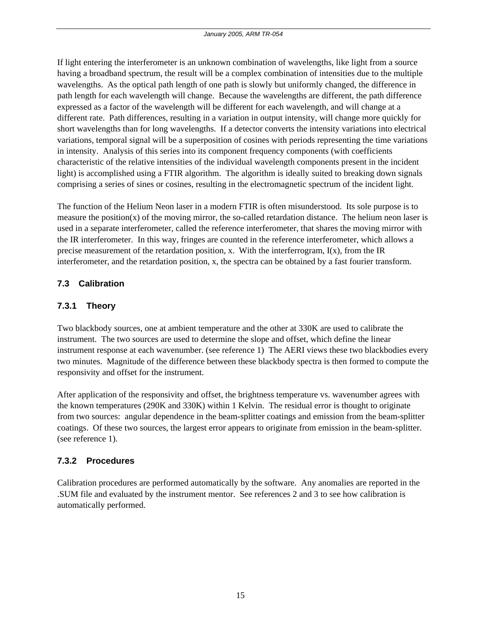If light entering the interferometer is an unknown combination of wavelengths, like light from a source having a broadband spectrum, the result will be a complex combination of intensities due to the multiple wavelengths. As the optical path length of one path is slowly but uniformly changed, the difference in path length for each wavelength will change. Because the wavelengths are different, the path difference expressed as a factor of the wavelength will be different for each wavelength, and will change at a different rate. Path differences, resulting in a variation in output intensity, will change more quickly for short wavelengths than for long wavelengths. If a detector converts the intensity variations into electrical variations, temporal signal will be a superposition of cosines with periods representing the time variations in intensity. Analysis of this series into its component frequency components (with coefficients characteristic of the relative intensities of the individual wavelength components present in the incident light) is accomplished using a FTIR algorithm. The algorithm is ideally suited to breaking down signals comprising a series of sines or cosines, resulting in the electromagnetic spectrum of the incident light.

The function of the Helium Neon laser in a modern FTIR is often misunderstood. Its sole purpose is to measure the position(x) of the moving mirror, the so-called retardation distance. The helium neon laser is used in a separate interferometer, called the reference interferometer, that shares the moving mirror with the IR interferometer. In this way, fringes are counted in the reference interferometer, which allows a precise measurement of the retardation position, x. With the interferrogram,  $I(x)$ , from the IR interferometer, and the retardation position, x, the spectra can be obtained by a fast fourier transform.

# **7.3 Calibration**

# **7.3.1 Theory**

Two blackbody sources, one at ambient temperature and the other at 330K are used to calibrate the instrument. The two sources are used to determine the slope and offset, which define the linear instrument response at each wavenumber. (see reference 1) The AERI views these two blackbodies every two minutes. Magnitude of the difference between these blackbody spectra is then formed to compute the responsivity and offset for the instrument.

After application of the responsivity and offset, the brightness temperature vs. wavenumber agrees with the known temperatures (290K and 330K) within 1 Kelvin. The residual error is thought to originate from two sources: angular dependence in the beam-splitter coatings and emission from the beam-splitter coatings. Of these two sources, the largest error appears to originate from emission in the beam-splitter. (see reference 1).

# **7.3.2 Procedures**

Calibration procedures are performed automatically by the software. Any anomalies are reported in the .SUM file and evaluated by the instrument mentor. See references 2 and 3 to see how calibration is automatically performed.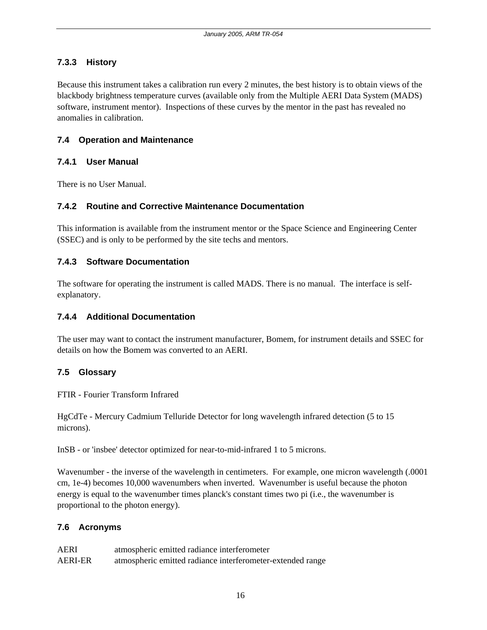## **7.3.3 History**

Because this instrument takes a calibration run every 2 minutes, the best history is to obtain views of the blackbody brightness temperature curves (available only from the Multiple AERI Data System (MADS) software, instrument mentor). Inspections of these curves by the mentor in the past has revealed no anomalies in calibration.

## **7.4 Operation and Maintenance**

#### **7.4.1 User Manual**

There is no User Manual.

#### **7.4.2 Routine and Corrective Maintenance Documentation**

This information is available from the instrument mentor or the Space Science and Engineering Center (SSEC) and is only to be performed by the site techs and mentors.

#### **7.4.3 Software Documentation**

The software for operating the instrument is called MADS. There is no manual. The interface is selfexplanatory.

#### **7.4.4 Additional Documentation**

The user may want to contact the instrument manufacturer, Bomem, for instrument details and SSEC for details on how the Bomem was converted to an AERI.

#### **7.5 Glossary**

FTIR - Fourier Transform Infrared

HgCdTe - Mercury Cadmium Telluride Detector for long wavelength infrared detection (5 to 15 microns).

InSB - or 'insbee' detector optimized for near-to-mid-infrared 1 to 5 microns.

Wavenumber - the inverse of the wavelength in centimeters. For example, one micron wavelength (.0001 cm, 1e-4) becomes 10,000 wavenumbers when inverted. Wavenumber is useful because the photon energy is equal to the wavenumber times planck's constant times two pi (i.e., the wavenumber is proportional to the photon energy).

#### **7.6 Acronyms**

| <b>AERI</b>    | atmospheric emitted radiance interferometer                |
|----------------|------------------------------------------------------------|
| <b>AERI-ER</b> | atmospheric emitted radiance interferometer-extended range |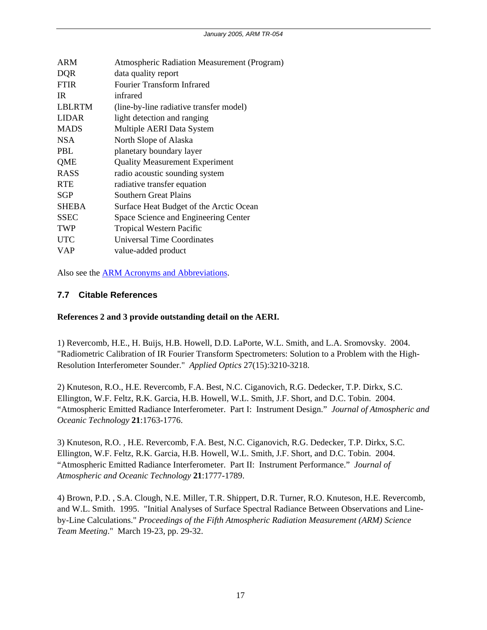| <b>ARM</b>   | <b>Atmospheric Radiation Measurement (Program)</b> |
|--------------|----------------------------------------------------|
| <b>DQR</b>   | data quality report                                |
| <b>FTIR</b>  | <b>Fourier Transform Infrared</b>                  |
| IR.          | infrared                                           |
| LBLRTM       | (line-by-line radiative transfer model)            |
| <b>LIDAR</b> | light detection and ranging                        |
| <b>MADS</b>  | Multiple AERI Data System                          |
| <b>NSA</b>   | North Slope of Alaska                              |
| <b>PBL</b>   | planetary boundary layer                           |
| <b>OME</b>   | <b>Quality Measurement Experiment</b>              |
| <b>RASS</b>  | radio acoustic sounding system                     |
| <b>RTE</b>   | radiative transfer equation                        |
| SGP          | <b>Southern Great Plains</b>                       |
| <b>SHEBA</b> | Surface Heat Budget of the Arctic Ocean            |
| <b>SSEC</b>  | Space Science and Engineering Center               |
| <b>TWP</b>   | <b>Tropical Western Pacific</b>                    |
| <b>UTC</b>   | Universal Time Coordinates                         |
| <b>VAP</b>   | value-added product                                |
|              |                                                    |

Also see the **ARM Acronyms and Abbreviations**.

## **7.7 Citable References**

#### **References 2 and 3 provide outstanding detail on the AERI.**

1) Revercomb, H.E., H. Buijs, H.B. Howell, D.D. LaPorte, W.L. Smith, and L.A. Sromovsky. 2004. "Radiometric Calibration of IR Fourier Transform Spectrometers: Solution to a Problem with the High-Resolution Interferometer Sounder." *Applied Optics* 27(15):3210-3218.

2) Knuteson, R.O., H.E. Revercomb, F.A. Best, N.C. Ciganovich, R.G. Dedecker, T.P. Dirkx, S.C. Ellington, W.F. Feltz, R.K. Garcia, H.B. Howell, W.L. Smith, J.F. Short, and D.C. Tobin. 2004. "Atmospheric Emitted Radiance Interferometer. Part I: Instrument Design." *Journal of Atmospheric and Oceanic Technology* **21**:1763-1776.

3) Knuteson, R.O. , H.E. Revercomb, F.A. Best, N.C. Ciganovich, R.G. Dedecker, T.P. Dirkx, S.C. Ellington, W.F. Feltz, R.K. Garcia, H.B. Howell, W.L. Smith, J.F. Short, and D.C. Tobin. 2004. "Atmospheric Emitted Radiance Interferometer. Part II: Instrument Performance." *Journal of Atmospheric and Oceanic Technology* **21**:1777-1789.

4) Brown, P.D. , S.A. Clough, N.E. Miller, T.R. Shippert, D.R. Turner, R.O. Knuteson, H.E. Revercomb, and W.L. Smith. 1995. "Initial Analyses of Surface Spectral Radiance Between Observations and Lineby-Line Calculations." *Proceedings of the Fifth Atmospheric Radiation Measurement (ARM) Science Team Meeting*." March 19-23, pp. 29-32.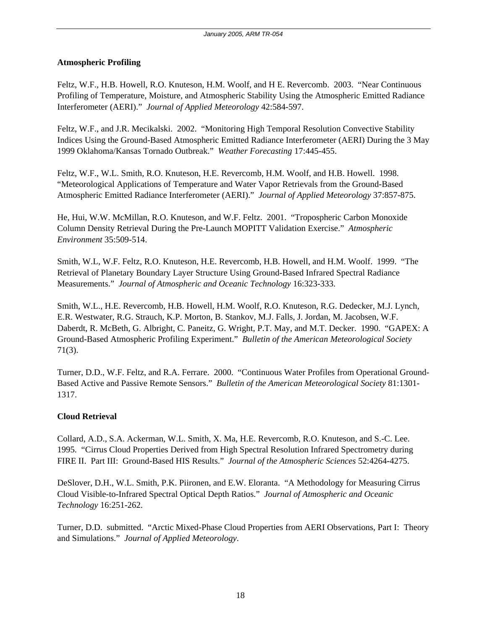#### **Atmospheric Profiling**

Feltz, W.F., H.B. Howell, R.O. Knuteson, H.M. Woolf, and H E. Revercomb. 2003. "Near Continuous Profiling of Temperature, Moisture, and Atmospheric Stability Using the Atmospheric Emitted Radiance Interferometer (AERI)." *Journal of Applied Meteorology* 42:584-597.

Feltz, W.F., and J.R. Mecikalski. 2002. "Monitoring High Temporal Resolution Convective Stability Indices Using the Ground-Based Atmospheric Emitted Radiance Interferometer (AERI) During the 3 May 1999 Oklahoma/Kansas Tornado Outbreak." *Weather Forecasting* 17:445-455.

Feltz, W.F., W.L. Smith, R.O. Knuteson, H.E. Revercomb, H.M. Woolf, and H.B. Howell. 1998. "Meteorological Applications of Temperature and Water Vapor Retrievals from the Ground-Based Atmospheric Emitted Radiance Interferometer (AERI)." *Journal of Applied Meteorology* 37:857-875.

He, Hui, W.W. McMillan, R.O. Knuteson, and W.F. Feltz. 2001. "Tropospheric Carbon Monoxide Column Density Retrieval During the Pre-Launch MOPITT Validation Exercise." *Atmospheric Environment* 35:509-514.

Smith, W.L, W.F. Feltz, R.O. Knuteson, H.E. Revercomb, H.B. Howell, and H.M. Woolf. 1999. "The Retrieval of Planetary Boundary Layer Structure Using Ground-Based Infrared Spectral Radiance Measurements." *Journal of Atmospheric and Oceanic Technology* 16:323-333.

Smith, W.L., H.E. Revercomb, H.B. Howell, H.M. Woolf, R.O. Knuteson, R.G. Dedecker, M.J. Lynch, E.R. Westwater, R.G. Strauch, K.P. Morton, B. Stankov, M.J. Falls, J. Jordan, M. Jacobsen, W.F. Daberdt, R. McBeth, G. Albright, C. Paneitz, G. Wright, P.T. May, and M.T. Decker. 1990. "GAPEX: A Ground-Based Atmospheric Profiling Experiment." *Bulletin of the American Meteorological Society* 71(3).

Turner, D.D., W.F. Feltz, and R.A. Ferrare. 2000. "Continuous Water Profiles from Operational Ground-Based Active and Passive Remote Sensors." *Bulletin of the American Meteorological Society* 81:1301- 1317.

#### **Cloud Retrieval**

Collard, A.D., S.A. Ackerman, W.L. Smith, X. Ma, H.E. Revercomb, R.O. Knuteson, and S.-C. Lee. 1995. "Cirrus Cloud Properties Derived from High Spectral Resolution Infrared Spectrometry during FIRE II. Part III: Ground-Based HIS Results." *Journal of the Atmospheric Sciences* 52:4264-4275.

DeSlover, D.H., W.L. Smith, P.K. Piironen, and E.W. Eloranta. "A Methodology for Measuring Cirrus Cloud Visible-to-Infrared Spectral Optical Depth Ratios." *Journal of Atmospheric and Oceanic Technology* 16:251-262.

Turner, D.D. submitted. "Arctic Mixed-Phase Cloud Properties from AERI Observations, Part I: Theory and Simulations." *Journal of Applied Meteorology*.